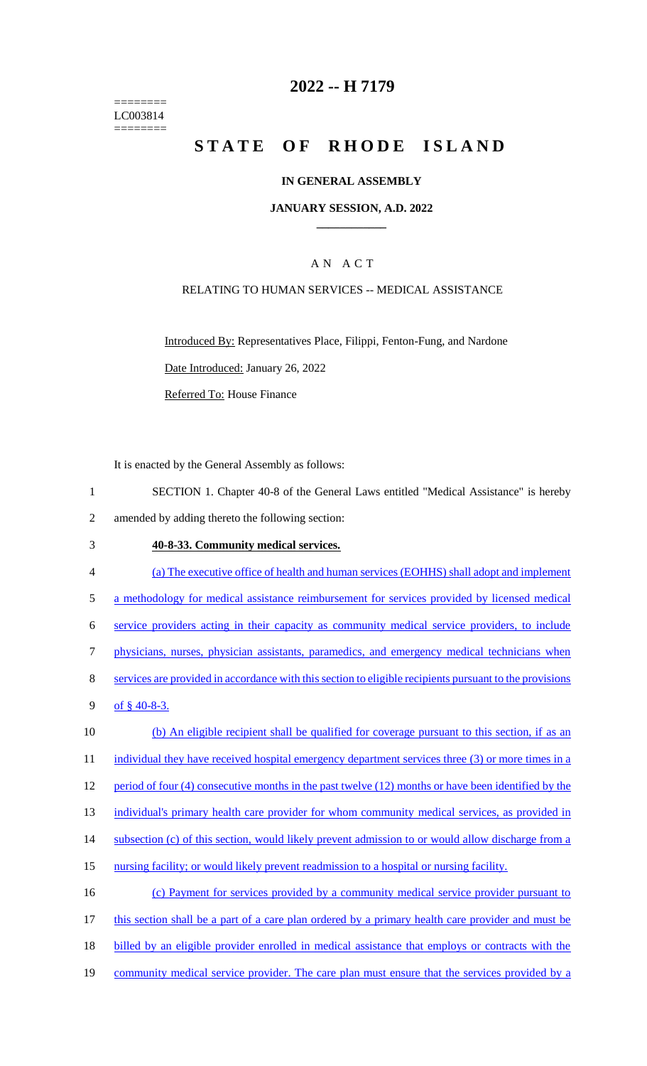======== LC003814 ========

# **2022 -- H 7179**

# **STATE OF RHODE ISLAND**

#### **IN GENERAL ASSEMBLY**

### **JANUARY SESSION, A.D. 2022 \_\_\_\_\_\_\_\_\_\_\_\_**

### A N A C T

### RELATING TO HUMAN SERVICES -- MEDICAL ASSISTANCE

Introduced By: Representatives Place, Filippi, Fenton-Fung, and Nardone Date Introduced: January 26, 2022 Referred To: House Finance

It is enacted by the General Assembly as follows:

- 1 SECTION 1. Chapter 40-8 of the General Laws entitled "Medical Assistance" is hereby 2 amended by adding thereto the following section:
- 3 **40-8-33. Community medical services.**
- 4 (a) The executive office of health and human services (EOHHS) shall adopt and implement 5 a methodology for medical assistance reimbursement for services provided by licensed medical 6 service providers acting in their capacity as community medical service providers, to include 7 physicians, nurses, physician assistants, paramedics, and emergency medical technicians when 8 services are provided in accordance with this section to eligible recipients pursuant to the provisions 9 of  $$40-8-3$ . 10 (b) An eligible recipient shall be qualified for coverage pursuant to this section, if as an 11 individual they have received hospital emergency department services three (3) or more times in a 12 period of four (4) consecutive months in the past twelve (12) months or have been identified by the 13 individual's primary health care provider for whom community medical services, as provided in 14 subsection (c) of this section, would likely prevent admission to or would allow discharge from a 15 nursing facility; or would likely prevent readmission to a hospital or nursing facility. 16 (c) Payment for services provided by a community medical service provider pursuant to 17 this section shall be a part of a care plan ordered by a primary health care provider and must be 18 billed by an eligible provider enrolled in medical assistance that employs or contracts with the 19 community medical service provider. The care plan must ensure that the services provided by a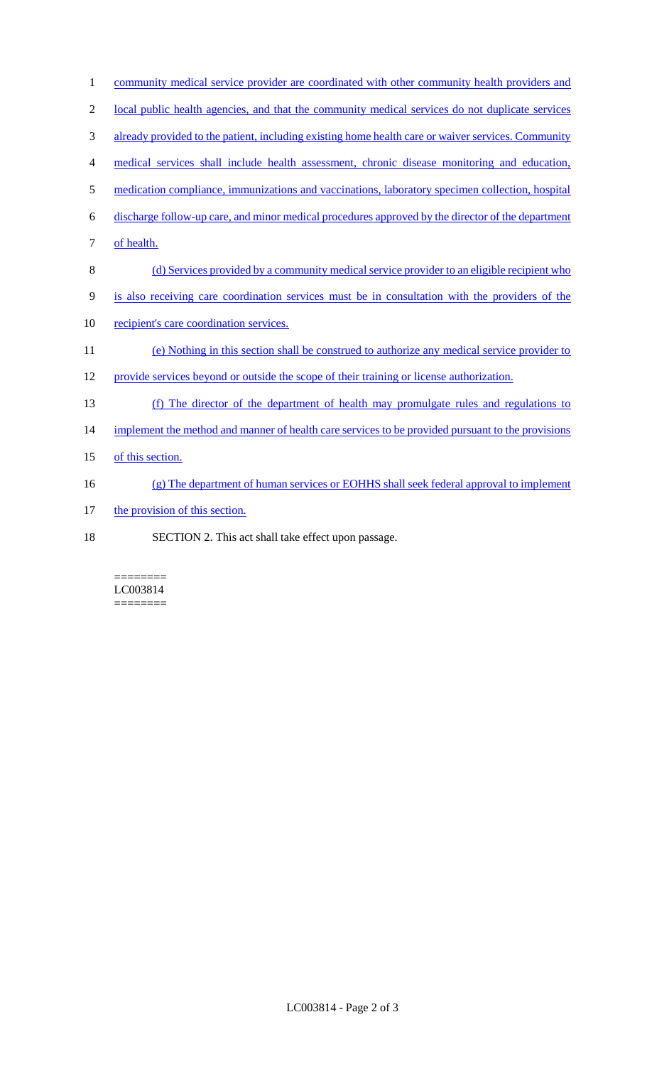| $\mathbf{1}$   | community medical service provider are coordinated with other community health providers and       |
|----------------|----------------------------------------------------------------------------------------------------|
| $\overline{2}$ | local public health agencies, and that the community medical services do not duplicate services    |
| 3              | already provided to the patient, including existing home health care or waiver services. Community |
| 4              | medical services shall include health assessment, chronic disease monitoring and education,        |
| 5              | medication compliance, immunizations and vaccinations, laboratory specimen collection, hospital    |
| 6              | discharge follow-up care, and minor medical procedures approved by the director of the department  |
| 7              | of health.                                                                                         |
| 8              | (d) Services provided by a community medical service provider to an eligible recipient who         |
| 9              | is also receiving care coordination services must be in consultation with the providers of the     |
| 10             | recipient's care coordination services.                                                            |
| 11             | (e) Nothing in this section shall be construed to authorize any medical service provider to        |
| 12             | provide services beyond or outside the scope of their training or license authorization.           |
| 13             | (f) The director of the department of health may promulgate rules and regulations to               |
| 14             | implement the method and manner of health care services to be provided pursuant to the provisions  |
| 15             | of this section.                                                                                   |
| 16             | (g) The department of human services or EOHHS shall seek federal approval to implement             |
| 17             | the provision of this section.                                                                     |
| 18             | SECTION 2. This act shall take effect upon passage.                                                |
|                |                                                                                                    |

 $=$ LC003814 ========